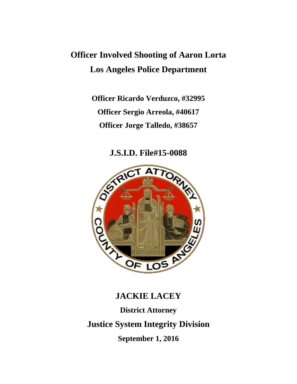# **Officer Involved Shooting of Aaron Lorta Los Angeles Police Department**

**Officer Ricardo Verduzco, #32995 Officer Sergio Arreola, #40617 Officer Jorge Talledo, #38657**

**J.S.I.D. File#15-0088**



# **JACKIE LACEY**

**District Attorney Justice System Integrity Division September 1, 2016**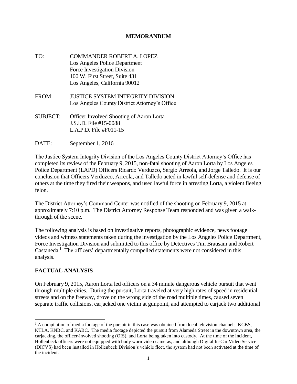#### **MEMORANDUM**

- TO: COMMANDER ROBERT A. LOPEZ Los Angeles Police Department Force Investigation Division 100 W. First Street, Suite 431 Los Angeles, California 90012
- FROM: JUSTICE SYSTEM INTEGRITY DIVISION Los Angeles County District Attorney's Office
- SUBJECT: Officer Involved Shooting of Aaron Lorta J.S.I.D. File #15-0088 L.A.P.D. File #F011-15
- DATE: September 1, 2016

The Justice System Integrity Division of the Los Angeles County District Attorney's Office has completed its review of the February 9, 2015, non-fatal shooting of Aaron Lorta by Los Angeles Police Department (LAPD) Officers Ricardo Verduzco, Sergio Arreola, and Jorge Talledo. It is our conclusion that Officers Verduzco, Arreola, and Talledo acted in lawful self-defense and defense of others at the time they fired their weapons, and used lawful force in arresting Lorta, a violent fleeing felon.

The District Attorney's Command Center was notified of the shooting on February 9, 2015 at approximately 7:10 p.m. The District Attorney Response Team responded and was given a walkthrough of the scene.

The following analysis is based on investigative reports, photographic evidence, news footage videos and witness statements taken during the investigation by the Los Angeles Police Department, Force Investigation Division and submitted to this office by Detectives Tim Brausam and Robert Castaneda.<sup>1</sup> The officers' departmentally compelled statements were not considered in this analysis.

#### **FACTUAL ANALYSIS**

 $\overline{a}$ 

On February 9, 2015, Aaron Lorta led officers on a 34 minute dangerous vehicle pursuit that went through multiple cities. During the pursuit, Lorta traveled at very high rates of speed in residential streets and on the freeway, drove on the wrong side of the road multiple times, caused seven separate traffic collisions, carjacked one victim at gunpoint, and attempted to carjack two additional

 $<sup>1</sup>$  A compilation of media footage of the pursuit in this case was obtained from local television channels, KCBS,</sup> KTLA, KNBC, and KABC. The media footage depicted the pursuit from Alameda Street in the downtown area, the carjacking, the officer-involved shooting (OIS), and Lorta being taken into custody. At the time of the incident, Hollenbeck officers were not equipped with body worn video cameras, and although Digital In-Car Video Service (DICVS) had been installed in Hollenbeck Division's vehicle fleet, the system had not been activated at the time of the incident.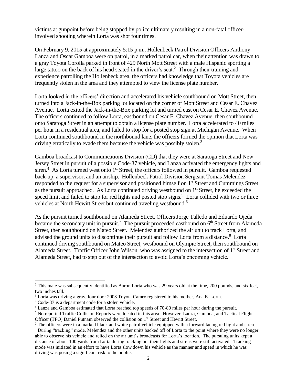victims at gunpoint before being stopped by police ultimately resulting in a non-fatal officerinvolved shooting wherein Lorta was shot four times.

On February 9, 2015 at approximately 5:15 p.m., Hollenbeck Patrol Division Officers Anthony Lanza and Oscar Gamboa were on patrol, in a marked patrol car, when their attention was drawn to a gray Toyota Corolla parked in front of 429 North Mott Street with a male Hispanic sporting a large tattoo on the back of his head seated in the driver's seat.<sup>2</sup> Through their training and experience patrolling the Hollenbeck area, the officers had knowledge that Toyota vehicles are frequently stolen in the area and they attempted to view the license plate number.

Lorta looked in the officers' direction and accelerated his vehicle southbound on Mott Street, then turned into a Jack-in-the-Box parking lot located on the corner of Mott Street and Cesar E. Chavez Avenue. Lorta exited the Jack-in-the-Box parking lot and turned east on Cesar E. Chavez Avenue. The officers continued to follow Lorta, eastbound on Cesar E. Chavez Avenue, then southbound onto Saratoga Street in an attempt to obtain a license plate number. Lorta accelerated to 40 miles per hour in a residential area, and failed to stop for a posted stop sign at Michigan Avenue. When Lorta continued southbound in the northbound lane, the officers formed the opinion that Lorta was driving erratically to evade them because the vehicle was possibly stolen.<sup>3</sup>

Gamboa broadcast to Communications Division (CD) that they were at Saratoga Street and New Jersey Street in pursuit of a possible Code-37 vehicle, and Lanza activated the emergency lights and siren.<sup>4</sup> As Lorta turned west onto  $1<sup>st</sup>$  Street, the officers followed in pursuit. Gamboa requested back-up, a supervisor, and an airship. Hollenbeck Patrol Division Sergeant Tomas Melendez responded to the request for a supervisor and positioned himself on 1<sup>st</sup> Street and Cummings Street as the pursuit approached. As Lorta continued driving westbound on 1st Street, he exceeded the speed limit and failed to stop for red lights and posted stop signs.<sup>5</sup> Lorta collided with two or three vehicles at North Hewitt Street but continued traveling westbound.<sup>6</sup>

As the pursuit turned southbound on Alameda Street, Officers Jorge Talledo and Eduardo Ojeda became the secondary unit in pursuit.<sup>7</sup> The pursuit proceeded eastbound on  $6<sup>th</sup>$  Street from Alameda Street, then southbound on Mateo Street. Melendez authorized the air unit to track Lorta, and advised the ground units to discontinue their pursuit and follow Lorta from a distance.<sup>8</sup> Lorta continued driving southbound on Mateo Street, westbound on Olympic Street, then southbound on Alameda Street. Traffic Officer John Wilson, who was assigned to the intersection of 1<sup>st</sup> Street and Alameda Street, had to step out of the intersection to avoid Lorta's oncoming vehicle.

l

<sup>&</sup>lt;sup>2</sup> This male was subsequently identified as Aaron Lorta who was 29 years old at the time, 200 pounds, and six feet, two inches tall.

<sup>&</sup>lt;sup>3</sup> Lorta was driving a gray, four door 2003 Toyota Camry registered to his mother, Ana E. Lorta.

<sup>4</sup> Code-37 is a department code for a stolen vehicle.

<sup>5</sup> Lanza and Gamboa estimated that Lorta reached top speeds of 70-80 miles per hour during the pursuit.

<sup>6</sup> No reported Traffic Collision Reports were located in this area. However, Lanza, Gamboa, and Tactical Flight Officer (TFO) Daniel Putnam observed the collision on 1<sup>st</sup> Street and Hewitt Street.

<sup>&</sup>lt;sup>7</sup> The officers were in a marked black and white patrol vehicle equipped with a forward facing red light and siren.

<sup>8</sup> During "tracking" mode, Melendez and the other units backed off of Lorta to the point where they were no longer able to observe his vehicle and relied on the air unit's broadcasts for Lorta's location. The pursuing units kept a distance of about 100 yards from Lorta during tracking but their lights and sirens were still activated. Tracking mode was initiated in an effort to have Lorta slow down his vehicle as the manner and speed in which he was driving was posing a significant risk to the public.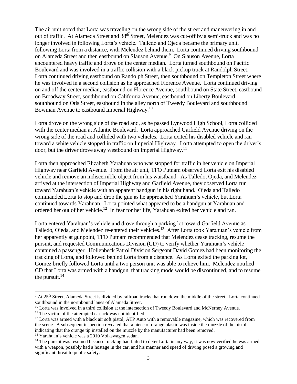The air unit noted that Lorta was traveling on the wrong side of the street and maneuvering in and out of traffic. At Alameda Street and 38<sup>th</sup> Street, Melendez was cut-off by a semi-truck and was no longer involved in following Lorta's vehicle. Talledo and Ojeda became the primary unit, following Lorta from a distance, with Melendez behind them. Lorta continued driving southbound on Alameda Street and then eastbound on Slauson Avenue.<sup>9</sup> On Slauson Avenue, Lorta encountered heavy traffic and drove on the center median. Lorta turned southbound on Pacific Boulevard and was involved in a traffic collision with a black pickup truck at Randolph Street. Lorta continued driving eastbound on Randolph Street, then southbound on Templeton Street where he was involved in a second collision as he approached Florence Avenue. Lorta continued driving on and off the center median, eastbound on Florence Avenue, southbound on State Street, eastbound on Broadway Street, southbound on California Avenue, eastbound on Liberty Boulevard, southbound on Otis Street, eastbound in the alley north of Tweedy Boulevard and southbound Bowman Avenue to eastbound Imperial Highway.<sup>10</sup>

Lorta drove on the wrong side of the road and, as he passed Lynwood High School, Lorta collided with the center median at Atlantic Boulevard. Lorta approached Garfield Avenue driving on the wrong side of the road and collided with two vehicles. Lorta exited his disabled vehicle and ran toward a white vehicle stopped in traffic on Imperial Highway. Lorta attempted to open the driver's door, but the driver drove away westbound on Imperial Highway.<sup>11</sup>

Lorta then approached Elizabeth Yarahuan who was stopped for traffic in her vehicle on Imperial Highway near Garfield Avenue. From the air unit, TFO Putnam observed Lorta exit his disabled vehicle and remove an indiscernible object from his waistband. As Talledo, Ojeda, and Melendez arrived at the intersection of Imperial Highway and Garfield Avenue, they observed Lorta run toward Yarahuan's vehicle with an apparent handgun in his right hand. Ojeda and Talledo commanded Lorta to stop and drop the gun as he approached Yarahuan's vehicle, but Lorta continued towards Yarahuan. Lorta pointed what appeared to be a handgun at Yarahuan and ordered her out of her vehicle.<sup>12</sup> In fear for her life, Yarahuan exited her vehicle and ran.

Lorta entered Yarahuan's vehicle and drove through a parking lot toward Garfield Avenue as Talledo, Ojeda, and Melendez re-entered their vehicles.<sup>13</sup> After Lorta took Yarahuan's vehicle from her apparently at gunpoint, TFO Putnam recommended that Melendez cease tracking, resume the pursuit, and requested Communications Division (CD) to verify whether Yarahuan's vehicle contained a passenger. Hollenbeck Patrol Division Sergeant David Gomez had been monitoring the tracking of Lorta, and followed behind Lorta from a distance. As Lorta exited the parking lot, Gomez briefly followed Lorta until a two person unit was able to relieve him. Melendez notified CD that Lorta was armed with a handgun, that tracking mode would be discontinued, and to resume the pursuit. $14$ 

 $\overline{\phantom{a}}$ 

<sup>13</sup> Yarahuan's vehicle was a 2010 Volkswagen sedan.

<sup>9</sup> At 25th Street, Alameda Street is divided by railroad tracks that run down the middle of the street. Lorta continued southbound in the northbound lanes of Alameda Street.

<sup>&</sup>lt;sup>10</sup> Lorta was involved in a third collision at the intersection of Tweedy Boulevard and McNerney Avenue.

 $11$  The victim of the attempted cariack was not identified.

<sup>&</sup>lt;sup>12</sup> Lorta was armed with a black air soft pistol, ATP Auto with a removable magazine, which was recovered from the scene. A subsequent inspection revealed that a piece of orange plastic was inside the muzzle of the pistol, indicating that the orange tip installed on the muzzle by the manufacturer had been removed.

<sup>&</sup>lt;sup>14</sup> The pursuit was resumed because tracking had failed to deter Lorta in any way, it was now verified he was armed with a weapon, possibly had a hostage in the car, and his manner and speed of driving posed a growing and significant threat to public safety.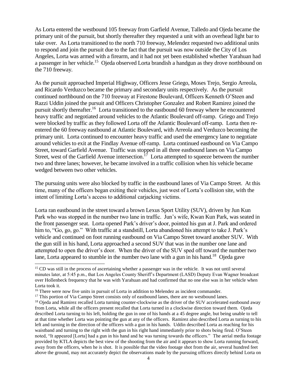As Lorta entered the westbound 105 freeway from Garfield Avenue, Talledo and Ojeda became the primary unit of the pursuit, but shortly thereafter they requested a unit with an overhead light bar to take over. As Lorta transitioned to the north 710 freeway, Melendez requested two additional units to respond and join the pursuit due to the fact that the pursuit was now outside the City of Los Angeles, Lorta was armed with a firearm, and it had not yet been established whether Yarahuan had a passenger in her vehicle.<sup>15</sup> Ojeda observed Lorta brandish a handgun as they drove northbound on the 710 freeway.

As the pursuit approached Imperial Highway, Officers Jesse Griego, Moses Trejo, Sergio Arreola, and Ricardo Verduzco became the primary and secondary units respectively. As the pursuit continued northbound on the 710 freeway at Firestone Boulevard, Officers Kenneth O'Steen and Razzi Uddin joined the pursuit and Officers Christopher Gonzalez and Robert Ramirez joined the pursuit shortly thereafter.<sup>16</sup> Lorta transitioned to the eastbound 60 freeway where he encountered heavy traffic and negotiated around vehicles to the Atlantic Boulevard off-ramp. Griego and Trejo were blocked by traffic as they followed Lorta off the Atlantic Boulevard off-ramp. Lorta then reentered the 60 freeway eastbound at Atlantic Boulevard, with Arreola and Verduzco becoming the primary unit. Lorta continued to encounter heavy traffic and used the emergency lane to negotiate around vehicles to exit at the Findlay Avenue off-ramp. Lorta continued eastbound on Via Campo Street, toward Garfield Avenue. Traffic was stopped in all three eastbound lanes on Via Campo Street, west of the Garfield Avenue intersection.<sup>17</sup> Lorta attempted to squeeze between the number two and three lanes; however, he became involved in a traffic collision when his vehicle became wedged between two other vehicles.

The pursuing units were also blocked by traffic in the eastbound lanes of Via Campo Street. At this time, many of the officers began exiting their vehicles, just west of Lorta's collision site, with the intent of limiting Lorta's access to additional carjacking victims.

Lorta ran eastbound in the street toward a brown Lexus Sport Utility (SUV), driven by Jun Kun Park who was stopped in the number two lane in traffic. Jun's wife, Kwan Kun Park, was seated in the front passenger seat. Lorta opened Park's driver's door, pointed his gun at J. Park and ordered him to, "Go, go, go." With traffic at a standstill, Lorta abandoned his attempt to take J. Park's vehicle and continued on foot running eastbound on Via Campo Street toward another SUV. With the gun still in his hand, Lorta approached a second SUV that was in the number one lane and attempted to open the driver's door. When the driver of the SUV sped off toward the number two lane, Lorta appeared to stumble in the number two lane with a gun in his hand.<sup>18</sup> Ojeda gave

 $\overline{a}$ 

<sup>&</sup>lt;sup>15</sup> CD was still in the process of ascertaining whether a passenger was in the vehicle. It was not until several minutes later, at 5:45 p.m., that Los Angeles County Sheriff's Department (LASD) Deputy Evan Wagner broadcast over Hollenbeck frequency that he was with Yarahuan and had confirmed that no one else was in her vehicle when Lorta took it.

<sup>&</sup>lt;sup>16</sup> There were now five units in pursuit of Lorta in addition to Melendez as incident commander.

<sup>&</sup>lt;sup>17</sup> This portion of Via Campo Street consists only of eastbound lanes, there are no westbound lanes.

<sup>&</sup>lt;sup>18</sup> Ojeda and Ramirez recalled Lorta turning counter-clockwise as the driver of the SUV accelerated eastbound away from Lorta, while all the officers present recalled that Lorta turned in a clockwise direction toward them. Ojeda described Lorta turning to his left, holding the gun in one of his hands at a 45 degree angle, but being unable to tell at that time whether Lorta was pointing the gun at any of the officers. Ramirez also described Lorta as turning to his left and turning in the direction of the officers with a gun in his hands. Uddin described Lorta as reaching for his waistband and turning to the right with the gun in his right hand immediately prior to shots being fired. O'Steen noted, "It appeared [Lorta] had a gun in his hand and he was turning towards the officers." The aerial media footage provided by KTLA depicts the best view of the shooting from the air and it appears to show Lorta running forward, away from the officers, when he is shot. It is possible that the video footage shot from the air, several hundred feet above the ground, may not accurately depict the observations made by the pursuing officers directly behind Lorta on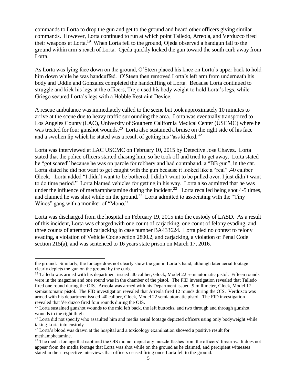commands to Lorta to drop the gun and get to the ground and heard other officers giving similar commands. However, Lorta continued to run at which point Talledo, Arreola, and Verduzco fired their weapons at Lorta.<sup>19</sup> When Lorta fell to the ground, Ojeda observed a handgun fall to the ground within arm's reach of Lorta. Ojeda quickly kicked the gun toward the south curb away from Lorta.

As Lorta was lying face down on the ground, O'Steen placed his knee on Lorta's upper back to hold him down while he was handcuffed. O'Steen then removed Lorta's left arm from underneath his body and Uddin and Gonzalez completed the handcuffing of Lorta. Because Lorta continued to struggle and kick his legs at the officers, Trejo used his body weight to hold Lorta's legs, while Griego secured Lorta's legs with a Hobble Restraint Device.

A rescue ambulance was immediately called to the scene but took approximately 10 minutes to arrive at the scene due to heavy traffic surrounding the area. Lorta was eventually transported to Los Angeles County (LAC), University of Southern California Medical Center (USCMC) where he was treated for four gunshot wounds.<sup>20</sup> Lorta also sustained a bruise on the right side of his face and a swollen lip which he stated was a result of getting his "ass kicked."<sup>21</sup>

Lorta was interviewed at LAC USCMC on February 10, 2015 by Detective Jose Chavez. Lorta stated that the police officers started chasing him, so he took off and tried to get away. Lorta stated he "got scared" because he was on parole for robbery and had contraband, a "BB gun", in the car. Lorta stated he did not want to get caught with the gun because it looked like a "real" .40 caliber Glock. Lorta added "I didn't want to be bothered. I didn't want to be pulled over. I just didn't want to do time period." Lorta blamed vehicles for getting in his way. Lorta also admitted that he was under the influence of methamphetamine during the incident.<sup>22</sup> Lorta recalled being shot 4-5 times, and claimed he was shot while on the ground.<sup>23</sup> Lorta admitted to associating with the "Tiny" Winos" gang with a moniker of "Mono."

Lorta was discharged from the hospital on February 19, 2015 into the custody of LASD. As a result of this incident, Lorta was charged with one count of carjacking, one count of felony evading, and three counts of attempted carjacking in case number BA433624. Lorta pled no contest to felony evading, a violation of Vehicle Code section 2800.2, and carjacking, a violation of Penal Code section 215(a), and was sentenced to 16 years state prison on March 17, 2016.

l

the ground. Similarly, the footage does not clearly show the gun in Lorta's hand, although later aerial footage clearly depicts the gun on the ground by the curb.

<sup>&</sup>lt;sup>19</sup> Talledo was armed with his department issued .40 caliber, Glock, Model 22 semiautomatic pistol. Fifteen rounds were in the magazine and one round was in the chamber of the pistol. The FID investigation revealed that Talledo fired one round during the OIS. Arreola was armed with his Department issued .9 millimeter, Glock, Model 17 semiautomatic pistol. The FID investigation revealed that Arreola fired 12 rounds during the OIS. Verduzco was armed with his department issued .40 caliber, Glock, Model 22 semiautomatic pistol. The FID investigation revealed that Verduzco fired four rounds during the OIS.

 $20$  Lorta sustained gunshot wounds to the mid left back, the left buttocks, and two through and through gunshot wounds to the right thigh.

 $21$  Lorta did not specify who assaulted him and media aerial footage depicted officers using only bodyweight while taking Lorta into custody.

<sup>&</sup>lt;sup>22</sup> Lorta's blood was drawn at the hospital and a toxicology examination showed a positive result for methamphetamine.

<sup>&</sup>lt;sup>23</sup> The media footage that captured the OIS did not depict any muzzle flashes from the officers' firearms. It does not appear from the media footage that Lorta was shot while on the ground as he claimed, and percipient witnesses stated in their respective interviews that officers ceased firing once Lorta fell to the ground.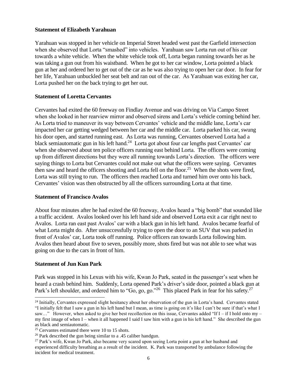#### **Statement of Elizabeth Yarahuan**

Yarahuan was stopped in her vehicle on Imperial Street headed west past the Garfield intersection when she observed that Lorta "smashed" into vehicles. Yarahuan saw Lorta run out of his car towards a white vehicle. When the white vehicle took off, Lorta began running towards her as he was taking a gun out from his waistband. When he got to her car window, Lorta pointed a black gun at her and ordered her to get out of the car as he was also trying to open her car door. In fear for her life, Yarahuan unbuckled her seat belt and ran out of the car. As Yarahuan was exiting her car, Lorta pushed her on the back trying to get her out.

#### **Statement of Loretta Cervantes**

Cervantes had exited the 60 freeway on Findlay Avenue and was driving on Via Campo Street when she looked in her rearview mirror and observed sirens and Lorta's vehicle coming behind her. As Lorta tried to maneuver its way between Cervantes' vehicle and the middle lane, Lorta's car impacted her car getting wedged between her car and the middle car. Lorta parked his car, swung his door open, and started running east. As Lorta was running, Cervantes observed Lorta had a black semiautomatic gun in his left hand.<sup>24</sup> Lorta got about four car lengths past Cervantes' car when she observed about ten police officers running east behind Lorta. The officers were coming up from different directions but they were all running towards Lorta's direction. The officers were saying things to Lorta but Cervantes could not make out what the officers were saying. Cervantes then saw and heard the officers shooting and Lorta fell on the floor.<sup>25</sup> When the shots were fired, Lorta was still trying to run. The officers then reached Lorta and turned him over onto his back. Cervantes' vision was then obstructed by all the officers surrounding Lorta at that time.

#### **Statement of Francisco Avalos**

About four minutes after he had exited the 60 freeway, Avalos heard a "big bomb" that sounded like a traffic accident. Avalos looked over his left hand side and observed Lorta exit a car right next to Avalos. Lorta ran east past Avalos' car with a black gun in his left hand. Avalos became fearful of what Lorta might do. After unsuccessfully trying to open the door to an SUV that was parked in front of Avalos' car, Lorta took off running. Police officers ran towards Lorta following him. Avalos then heard about five to seven, possibly more, shots fired but was not able to see what was going on due to the cars in front of him.

#### **Statement of Jun Kun Park**

 $\overline{a}$ 

Park was stopped in his Lexus with his wife, Kwan Jo Park, seated in the passenger's seat when he heard a crash behind him. Suddenly, Lorta opened Park's driver's side door, pointed a black gun at Park's left shoulder, and ordered him to "Go, go, go."<sup>26</sup> This placed Park in fear for his safety.<sup>27</sup>

 $24$  Initially, Cervantes expressed slight hesitancy about her observation of the gun in Lorta's hand. Cervantes stated "I initially felt that I saw a gun in his left hand but I mean, as time is going on it's like I can't be sure if that's what I saw..." However, when asked to give her best recollection on this issue, Cervantes added "If  $I - iI$  hold onto my – my first image of when I – when it all happened I said I saw him with a gun in his left hand." She described the gun as black and semiautomatic.

 $25$  Cervantes estimated there were 10 to 15 shots.

<sup>&</sup>lt;sup>26</sup> Park described the gun being similar to a .45 caliber handgun.

<sup>&</sup>lt;sup>27</sup> Park's wife, Kwan Jo Park, also became very scared upon seeing Lorta point a gun at her husband and experienced difficulty breathing as a result of the incident. K. Park was transported by ambulance following the incident for medical treatment.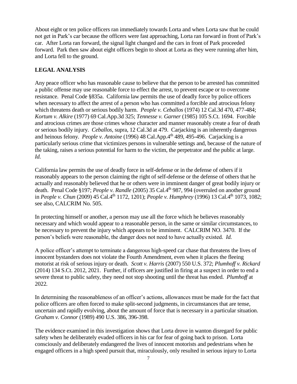About eight or ten police officers ran immediately towards Lorta and when Lorta saw that he could not get in Park's car because the officers were fast approaching, Lorta ran forward in front of Park's car. After Lorta ran forward, the signal light changed and the cars in front of Park proceeded forward. Park then saw about eight officers begin to shoot at Lorta as they were running after him, and Lorta fell to the ground.

### **LEGAL ANALYSIS**

Any peace officer who has reasonable cause to believe that the person to be arrested has committed a public offense may use reasonable force to effect the arrest, to prevent escape or to overcome resistance. Penal Code §835a. California law permits the use of deadly force by police officers when necessary to affect the arrest of a person who has committed a forcible and atrocious felony which threatens death or serious bodily harm. *People v. Ceballos* (1974) 12 Cal.3d 470, 477-484; *Kortum v. Alkire* (1977) 69 Cal.App.3d 325; *Tennesse v. Garner* (1985) 105 S.Ct. 1694. Forcible and atrocious crimes are those crimes whose character and manner reasonably create a fear of death or serious bodily injury. *Ceballos*, supra, 12 Cal.3d at 479. Carjacking is an inherently dangerous and heinous felony. *People v. Antoine* (1996) 48 Cal.App.4th 489, 495-496. Carjacking is a particularly serious crime that victimizes persons in vulnerable settings and, because of the nature of the taking, raises a serious potential for harm to the victim, the perpetrator and the public at large. *Id.*

California law permits the use of deadly force in self-defense or in the defense of others if it reasonably appears to the person claiming the right of self-defense or the defense of others that he actually and reasonably believed that he or others were in imminent danger of great bodily injury or death. Penal Code §197; *People v. Randle* (2005) 35 Cal.4 th 987, 994 (overruled on another ground in *People v. Chun* (2009) 45 Cal.4<sup>th</sup> 1172, 1201); *People v. Humphrey* (1996) 13 Cal.4<sup>th</sup> 1073, 1082; see also, CALCRIM No. 505.

In protecting himself or another, a person may use all the force which he believes reasonably necessary and which would appear to a reasonable person, in the same or similar circumstances, to be necessary to prevent the injury which appears to be imminent. CALCRIM NO. 3470. If the person's beliefs were reasonable, the danger does not need to have actually existed. *Id.*

A police officer's attempt to terminate a dangerous high-speed car chase that threatens the lives of innocent bystanders does not violate the Fourth Amendment, even when it places the fleeing motorist at risk of serious injury or death. *Scott v. Harris* (2007) 550 U.S. 372; *Plumhoff v. Rickard* (2014) 134 S.Ct. 2012, 2021. Further, if officers are justified in firing at a suspect in order to end a severe threat to public safety, they need not stop shooting until the threat has ended. *Plumhoff* at 2022*.*

In determining the reasonableness of an officer's actions, allowances must be made for the fact that police officers are often forced to make split-second judgments, in circumstances that are tense, uncertain and rapidly evolving, about the amount of force that is necessary in a particular situation. *Graham v. Connor* (1989) 490 U.S. 386, 396-398.

The evidence examined in this investigation shows that Lorta drove in wanton disregard for public safety when he deliberately evaded officers in his car for fear of going back to prison. Lorta consciously and deliberately endangered the lives of innocent motorists and pedestrians when he engaged officers in a high speed pursuit that, miraculously, only resulted in serious injury to Lorta